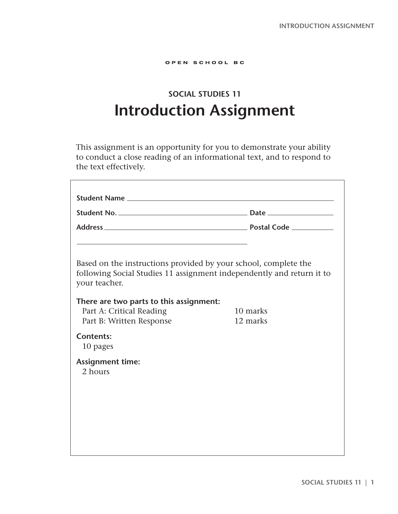#### OPEN SCHOOL BC

# **SOCIAL STUDIES 11 Introduction Assignment**

This assignment is an opportunity for you to demonstrate your ability to conduct a close reading of an informational text, and to respond to the text effectively.

| Based on the instructions provided by your school, complete the<br>following Social Studies 11 assignment independently and return it to |
|------------------------------------------------------------------------------------------------------------------------------------------|
| There are two parts to this assignment:<br>10 marks<br>12 marks                                                                          |
|                                                                                                                                          |
|                                                                                                                                          |
|                                                                                                                                          |
|                                                                                                                                          |
|                                                                                                                                          |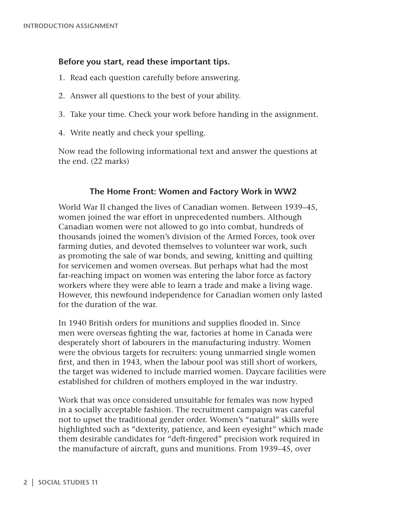# **Before you start, read these important tips.**

- 1. Read each question carefully before answering.
- 2. Answer all questions to the best of your ability.
- 3. Take your time. Check your work before handing in the assignment.
- 4. Write neatly and check your spelling.

Now read the following informational text and answer the questions at the end. (22 marks)

# **The Home Front: Women and Factory Work in WW2**

World War II changed the lives of Canadian women. Between 1939–45, women joined the war effort in unprecedented numbers. Although Canadian women were not allowed to go into combat, hundreds of thousands joined the women's division of the Armed Forces, took over farming duties, and devoted themselves to volunteer war work, such as promoting the sale of war bonds, and sewing, knitting and quilting for servicemen and women overseas. But perhaps what had the most far-reaching impact on women was entering the labor force as factory workers where they were able to learn a trade and make a living wage. However, this newfound independence for Canadian women only lasted for the duration of the war.

In 1940 British orders for munitions and supplies flooded in. Since men were overseas fighting the war, factories at home in Canada were desperately short of labourers in the manufacturing industry. Women were the obvious targets for recruiters: young unmarried single women first, and then in 1943, when the labour pool was still short of workers, the target was widened to include married women. Daycare facilities were established for children of mothers employed in the war industry.

Work that was once considered unsuitable for females was now hyped in a socially acceptable fashion. The recruitment campaign was careful not to upset the traditional gender order. Women's "natural" skills were highlighted such as "dexterity, patience, and keen eyesight" which made them desirable candidates for "deft-fingered" precision work required in the manufacture of aircraft, guns and munitions. From 1939–45, over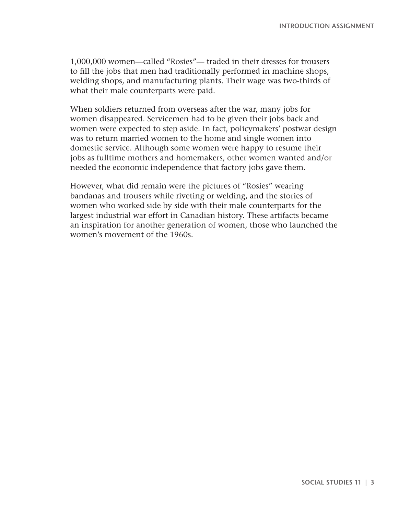1,000,000 women—called "Rosies"— traded in their dresses for trousers to fill the jobs that men had traditionally performed in machine shops, welding shops, and manufacturing plants. Their wage was two-thirds of what their male counterparts were paid.

When soldiers returned from overseas after the war, many jobs for women disappeared. Servicemen had to be given their jobs back and women were expected to step aside. In fact, policymakers' postwar design was to return married women to the home and single women into domestic service. Although some women were happy to resume their jobs as fulltime mothers and homemakers, other women wanted and/or needed the economic independence that factory jobs gave them.

However, what did remain were the pictures of "Rosies" wearing bandanas and trousers while riveting or welding, and the stories of women who worked side by side with their male counterparts for the largest industrial war effort in Canadian history. These artifacts became an inspiration for another generation of women, those who launched the women's movement of the 1960s.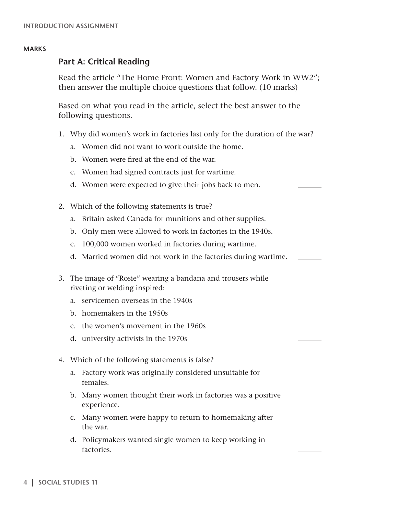## **Part A: Critical Reading**

Read the article "The Home Front: Women and Factory Work in WW2"; then answer the multiple choice questions that follow. (10 marks)

Based on what you read in the article, select the best answer to the following questions.

- 1. Why did women's work in factories last only for the duration of the war?
	- a. Women did not want to work outside the home.
	- b. Women were fired at the end of the war.
	- c. Women had signed contracts just for wartime.
	- d. Women were expected to give their jobs back to men.
- 2. Which of the following statements is true?
	- a. Britain asked Canada for munitions and other supplies.
	- b. Only men were allowed to work in factories in the 1940s.
	- c. 100,000 women worked in factories during wartime.
	- d. Married women did not work in the factories during wartime.
- 3. The image of "Rosie" wearing a bandana and trousers while riveting or welding inspired:
	- a. servicemen overseas in the 1940s
	- b. homemakers in the 1950s
	- c. the women's movement in the 1960s
	- d. university activists in the 1970s
- 4. Which of the following statements is false?
	- a. Factory work was originally considered unsuitable for females.
	- b. Many women thought their work in factories was a positive experience.
	- c. Many women were happy to return to homemaking after the war.
	- d. Policymakers wanted single women to keep working in factories.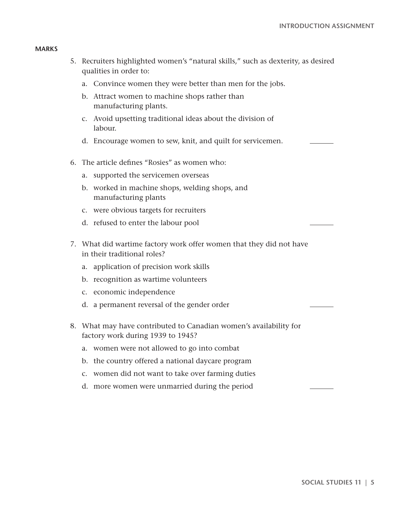- 5. Recruiters highlighted women's "natural skills," such as dexterity, as desired qualities in order to:
	- a. Convince women they were better than men for the jobs.
	- b. Attract women to machine shops rather than manufacturing plants.
	- c. Avoid upsetting traditional ideas about the division of labour.
	- d. Encourage women to sew, knit, and quilt for servicemen.
- 6. The article defines "Rosies" as women who:
	- a. supported the servicemen overseas
	- b. worked in machine shops, welding shops, and manufacturing plants
	- c. were obvious targets for recruiters
	- d. refused to enter the labour pool
- 7. What did wartime factory work offer women that they did not have in their traditional roles?
	- a. application of precision work skills
	- b. recognition as wartime volunteers
	- c. economic independence
	- d. a permanent reversal of the gender order
- 8. What may have contributed to Canadian women's availability for factory work during 1939 to 1945?
	- a. women were not allowed to go into combat
	- b. the country offered a national daycare program
	- c. women did not want to take over farming duties
	- d. more women were unmarried during the period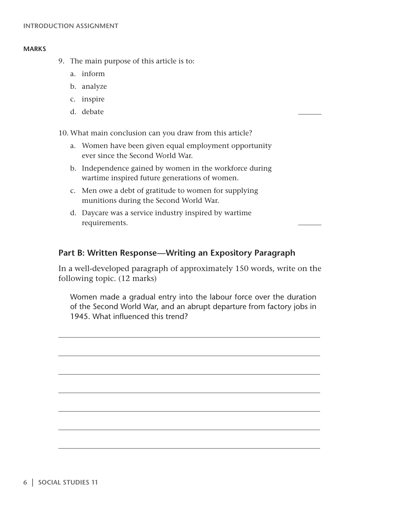- 9. The main purpose of this article is to:
	- a. inform
	- b. analyze
	- c. inspire
	- d. debate

10. What main conclusion can you draw from this article?

- a. Women have been given equal employment opportunity ever since the Second World War.
- b. Independence gained by women in the workforce during wartime inspired future generations of women.
- c. Men owe a debt of gratitude to women for supplying munitions during the Second World War.
- d. Daycare was a service industry inspired by wartime requirements.

# **Part B: Written Response—Writing an Expository Paragraph**

In a well-developed paragraph of approximately 150 words, write on the following topic. (12 marks)

Women made a gradual entry into the labour force over the duration of the Second World War, and an abrupt departure from factory jobs in 1945. What influenced this trend?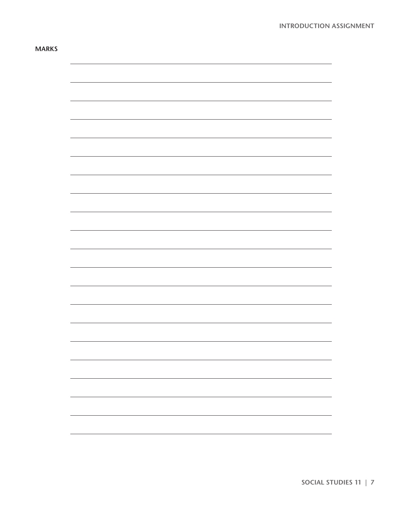| $\overline{\phantom{0}}$ |
|--------------------------|
|                          |
|                          |
|                          |
|                          |
|                          |
|                          |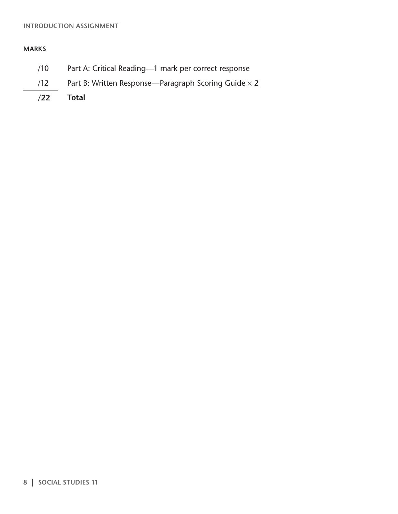## **Introduction Assignment**

## **Marks**

- /10 Part A: Critical Reading—1 mark per correct response
- /12 Part B: Written Response—Paragraph Scoring Guide  $\times$  2
- **/22 Total**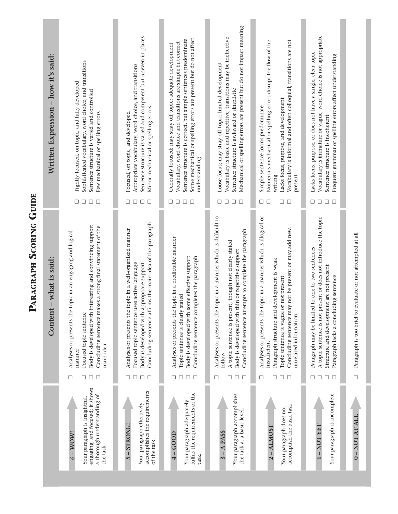|                                                                                                                            |                                 | what is said:<br>$\mathsf{I}$<br>Content                                                                                                                                                                                                                           |                                 | Written Expression - how it's said:                                                                                                                                                                                                                                                    |
|----------------------------------------------------------------------------------------------------------------------------|---------------------------------|--------------------------------------------------------------------------------------------------------------------------------------------------------------------------------------------------------------------------------------------------------------------|---------------------------------|----------------------------------------------------------------------------------------------------------------------------------------------------------------------------------------------------------------------------------------------------------------------------------------|
| engaging, and focused; it shows<br>a thorough understanding of<br>Your paragraph is insightful,<br>$6 - WOW!$<br>the task. | $\Box$<br>□<br>$\Box$<br>$\Box$ | Body is developed with interesting and convincing support<br>Concluding sentence makes a strong final statement of the<br>Analyses or presents the topic in an engaging and logical<br>Focused topic sentence<br>main idea<br>manner                               | $\Box$<br>$\Box$<br>$\Box$<br>□ | Sophisticated vocabulary, word choice, and transitions<br>Tightly focused, on topic, and fully developed<br>Sentence structure is varied and controlled<br>Few mechanical or spelling errors                                                                                           |
| accomplishes the requirements<br>Your paragraph effectively<br>-STRONG!<br>of the task.<br>5                               | $\Box$<br>$\Box$<br>□<br>□      | Concluding sentence affirms the main idea of the paragraph<br>Analyses or presents the topic in a well-organized manner<br>Focused topic sentence uses active language<br>Body is developed with appropriate support                                               | $\Box$<br>□<br>□<br>□           | Sentence structure is varied and competent but uneven in places<br>Appropriate vocabulary, word choice, and transitions<br>Minor mechanical or spelling errors<br>Focused, on topic, and developed                                                                                     |
| fulfils the requirements of the<br>Your paragraph adequately<br>$4 - GOOD$<br>task.                                        | □<br>□<br>$\Box$<br>$\Box$      | Analyses or presents the topic in a predictable manner<br>Body is developed with some effective support<br>Concluding sentence completes the paragraph<br>Topic sentence is clearly stated                                                                         | $\Box$<br>□<br>□<br>□           | Some mechanical or spelling errors are present but do not affect<br>Sentence structure is correct, but simple sentences predominate<br>Vocabulary, word choice and transitions are simple but correct<br>Generally focused; may stray off topic; adequate development<br>understanding |
| Your paragraph accomplishes<br>the task at a basic level<br>$- A$ PASS                                                     | $\Box$<br>□<br>□<br>$\Box$      | Analyses or presents the topic in a manner which is difficult to<br>Concluding sentence attempts to complete the paragraph<br>A topic sentence is present, though not clearly stated<br>Body is developed with thin or repetitive support<br>follow                | $\Box$<br>□<br>□                | Mechanical or spelling errors are present but do not impact meaning<br>Vocabulary is basic and repetitive; transitions may be ineffective<br>Loose focus; may stray off topic; limited development<br>Sentence structure is awkward or simplistic                                      |
| accomplish the basic task.<br>Your paragraph does not<br>$2 - ALMOS$                                                       | $\Box$<br>$\Box$ $\Box$<br>□    | Analyses or presents the topic in a manner which is illogical or<br>not be present or may add new,<br>Paragraph structure and development is weak<br>not present<br>Concluding sentence may<br>Topic sentence is vague or<br>unrelated information<br>insufficient | $\Box$<br>$\Box$ $\Box$<br>⊔    | Numerous mechanical or spelling errors disrupt the flow of the<br>Vocabulary is informal and often colloquial; transitions are not<br>Lacks focus, purpose, and development<br>Simple sentence forms predominate<br>present<br>writing                                                 |
| Your paragraph is incomplete<br>-NOT YET                                                                                   | □<br>$\Box$<br>$\Box$<br>□      | A topic sentence is not present or does not introduce the topic<br>Paragraph may be limited to one to two sentences<br>Structure and development are not present<br>Paragraph lacks a concluding sentence                                                          | $\Box$<br>$\Box$<br>□<br>□      | Vocabulary is immature or vague; word choice is not appropriate<br>Lacks focus, purpose, or does not have a single, clear topic<br>Frequent grammar or spelling errors affect understanding<br>Sentence structure is incoherent                                                        |
| <b>0-NOT AT ALI</b>                                                                                                        | $\Box$                          | Paragraph is too brief to evaluate or not attempted at all                                                                                                                                                                                                         |                                 |                                                                                                                                                                                                                                                                                        |

**PARAGRAPH SCORING GUIDE**

PARAGRAPH SCORING GUIDE